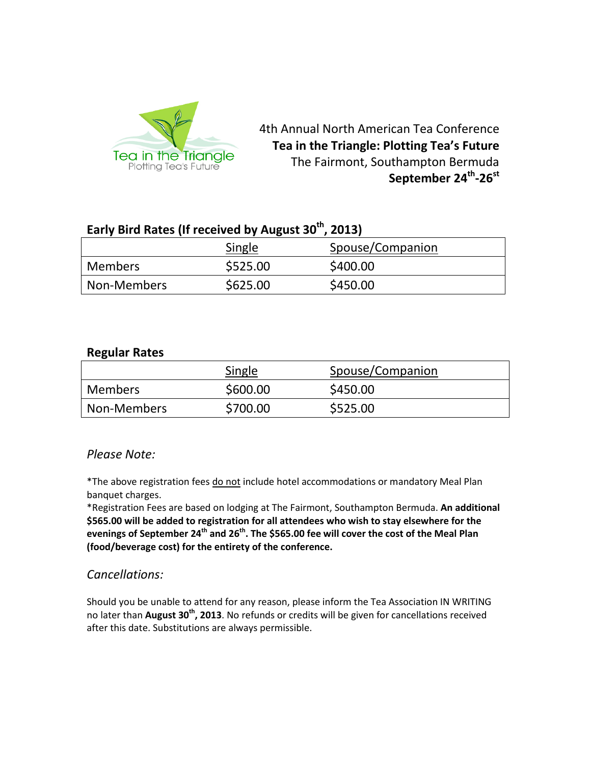

4th Annual North American Tea Conference **Tea in the Triangle: Plotting Tea's Future** The Fairmont, Southampton Bermuda September 24<sup>th</sup>-26<sup>st</sup>

# **Early Bird Rates (If received by August 30th, 2013)**

|                | Single   | Spouse/Companion |
|----------------|----------|------------------|
| <b>Members</b> | \$525.00 | \$400.00         |
| l Non-Members  | \$625.00 | \$450.00         |

### **Regular Rates**

|                | Single   | Spouse/Companion |
|----------------|----------|------------------|
| <b>Members</b> | \$600.00 | \$450.00         |
| Non-Members    | \$700.00 | \$525.00         |

### *Please Note:*

\*The above registration fees do not include hotel accommodations or mandatory Meal Plan banquet charges.

\*Registration Fees are based on lodging at The Fairmont, Southampton Bermuda. **An additional \$565.00 will be added to registration for all attendees who wish to stay elsewhere for the evenings of September 24th and 26th. The \$565.00 fee will cover the cost of the Meal Plan (food/beverage cost) for the entirety of the conference.**

### *Cancellations:*

Should you be unable to attend for any reason, please inform the Tea Association IN WRITING no later than **August 30th, 2013**. No refunds or credits will be given for cancellations received after this date. Substitutions are always permissible.